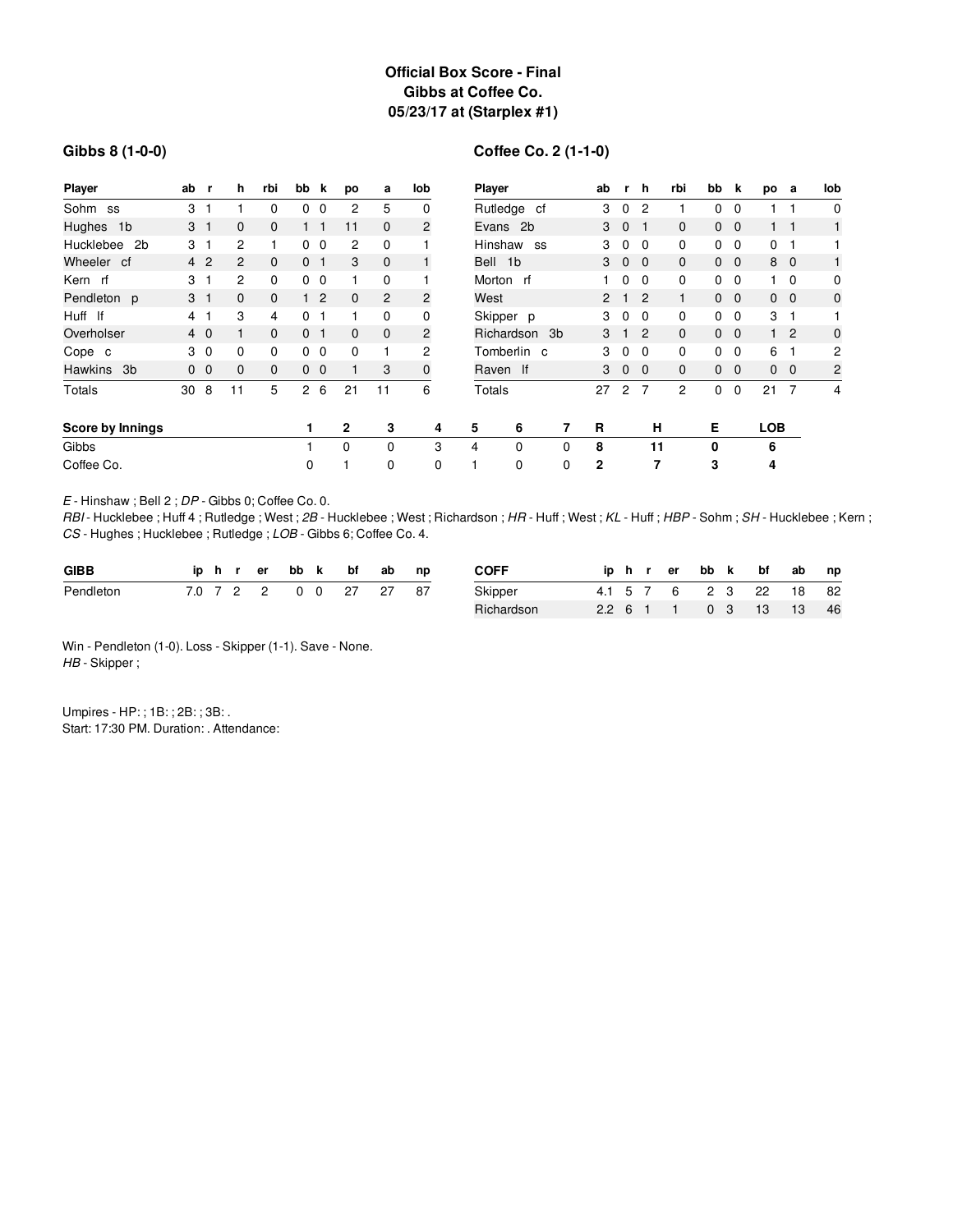## **Official Box Score - Final Gibbs at Coffee Co. 05/23/17 at (Starplex #1)**

### **Gibbs 8 (1-0-0)**

# **Coffee Co. 2 (1-1-0)**

| Player                      | ab | -r             | h              | rbi | bb k           |                | po           | a            | lob         |          | Player        |             |   | ab             | r,           | h            | rbi          | bb             | k              | po             | а              | lob            |
|-----------------------------|----|----------------|----------------|-----|----------------|----------------|--------------|--------------|-------------|----------|---------------|-------------|---|----------------|--------------|--------------|--------------|----------------|----------------|----------------|----------------|----------------|
| Sohm ss                     | 3  |                |                | 0   | 0              | 0              | 2            | 5            | 0           |          | Rutledge cf   |             |   | 3              | $\mathbf 0$  | 2            |              | 0              | $\Omega$       |                |                | $\mathbf 0$    |
| Hughes 1b                   |    | 3 <sub>1</sub> | $\mathbf{0}$   | 0   |                | 1              | 11           | $\mathbf{0}$ | 2           | Evans 2b |               |             | 3 | $\mathbf{0}$   |              | $\mathbf{0}$ | $\mathbf{0}$ | $\overline{0}$ |                |                |                |                |
| Hucklebee<br>2 <sub>b</sub> | 3  |                | 2              |     | 0              | $\mathbf 0$    | 2            | 0            |             |          | Hinshaw<br>SS |             |   | 3              | $\mathbf 0$  | $\Omega$     | 0            | 0              | $\mathbf 0$    | 0              | -1             |                |
| Wheeler cf                  |    | 4 <sup>2</sup> | $\overline{c}$ | 0   | 0 <sub>1</sub> |                | 3            | $\mathbf{0}$ |             |          | Bell 1b       |             |   | 3              | 0            | $\Omega$     | 0            | 0              | $\overline{0}$ | 8              | $\overline{0}$ | $\mathbf{1}$   |
| Kern rf                     | 3  |                | 2              | 0   | $\Omega$       | -0             |              | 0            |             |          | Morton rf     |             |   |                | 0            | $\Omega$     | 0            | 0              | 0              |                | 0              | $\mathbf 0$    |
| Pendleton p                 |    | 3 <sub>1</sub> | $\Omega$       | 0   | 1.             | $\overline{2}$ | $\mathbf{0}$ | 2            | 2           |          | West          |             |   | $\overline{2}$ |              | 2            | 1.           | $\mathbf{0}$   | $\overline{0}$ |                | $0\quad 0$     | $\mathbf 0$    |
| Huff If                     | 4  |                | 3              | 4   | 0              |                |              | 0            | 0           |          | Skipper p     |             |   | 3              | 0            | $\Omega$     | 0            | 0              | $\mathbf 0$    | 3              | -1             |                |
| Overholser                  |    | $4\quad0$      |                | 0   | $\Omega$       | -1             | $\mathbf{0}$ | $\mathbf{0}$ | 2           |          | Richardson 3b |             | 3 |                | 2            | 0            | $\mathbf{0}$ | $\mathbf{0}$   | 1.             | $\overline{2}$ | $\mathbf{0}$   |                |
| Cope c                      |    | 3 <sub>0</sub> | 0              | 0   |                | $0\quad 0$     | 0            |              | 2           |          | Tomberlin c   |             |   | 3              | $\mathbf 0$  | $\Omega$     | 0            | 0              | $\mathbf 0$    | 6              | 1              | $\overline{c}$ |
| <b>Hawkins</b><br>-3b       |    | 0 <sub>0</sub> | $\mathbf{0}$   | 0   |                | 0 <sub>0</sub> |              | 3            | $\mathbf 0$ |          | Raven If      |             |   | 3              | $\mathbf{0}$ | $\Omega$     | 0            | $\mathbf{0}$   | $\mathbf{0}$   | $\mathbf{0}$   | $\overline{0}$ | 2              |
| Totals                      | 30 | 8              | 11             | 5   | $\overline{2}$ | 6              | 21           | 11           | 6           |          | Totals        |             |   | 27             | 2            | 7            | 2            | 0              | $\mathbf 0$    | 21             | $\overline{7}$ | 4              |
| Score by Innings            |    |                |                |     |                |                | $\mathbf{2}$ | 3            | 4           |          | 5             | 6           | 7 | R              |              | н            |              | Е              |                | <b>LOB</b>     |                |                |
| Gibbs                       |    |                |                |     |                |                | $\Omega$     | $\Omega$     | 3           |          | 4             | $\Omega$    | 0 | 8              |              | 11           |              | 0              |                | 6              |                |                |
| Coffee Co.                  |    |                |                |     | 0              |                |              | 0            | 0           |          |               | $\mathbf 0$ | 0 | 2              |              | 7            |              | 3              |                | 4              |                |                |

*E* - Hinshaw ; Bell 2 ; *DP* - Gibbs 0; Coffee Co. 0.

*RBI* - Hucklebee ; Huff 4 ; Rutledge ; West ; *2B* - Hucklebee ; West ; Richardson ; *HR* - Huff ; West ; *KL* - Huff ; *HBP* - Sohm ;*SH* - Hucklebee ; Kern ; *CS* - Hughes ; Hucklebee ; Rutledge ; *LOB* - Gibbs 6; Coffee Co. 4.

| <b>GIBB</b> |  |  |               | ip h r er bb k bf ab | np   | <b>COFF</b> |  | iphrer |  | bb k bf ab             | np |
|-------------|--|--|---------------|----------------------|------|-------------|--|--------|--|------------------------|----|
| Pendleton   |  |  | 7.0 7 2 2 0 0 | 27 27                | - 87 | Skipper     |  |        |  | 4.1 5 7 6 2 3 22 18 82 |    |
|             |  |  |               |                      |      | Richardson  |  |        |  | 2.2 6 1 1 0 3 13 13    | 46 |

Win - Pendleton (1-0). Loss - Skipper (1-1). Save - None. *HB* - Skipper ;

Umpires - HP: ; 1B: ; 2B: ; 3B: . Start: 17:30 PM. Duration: . Attendance: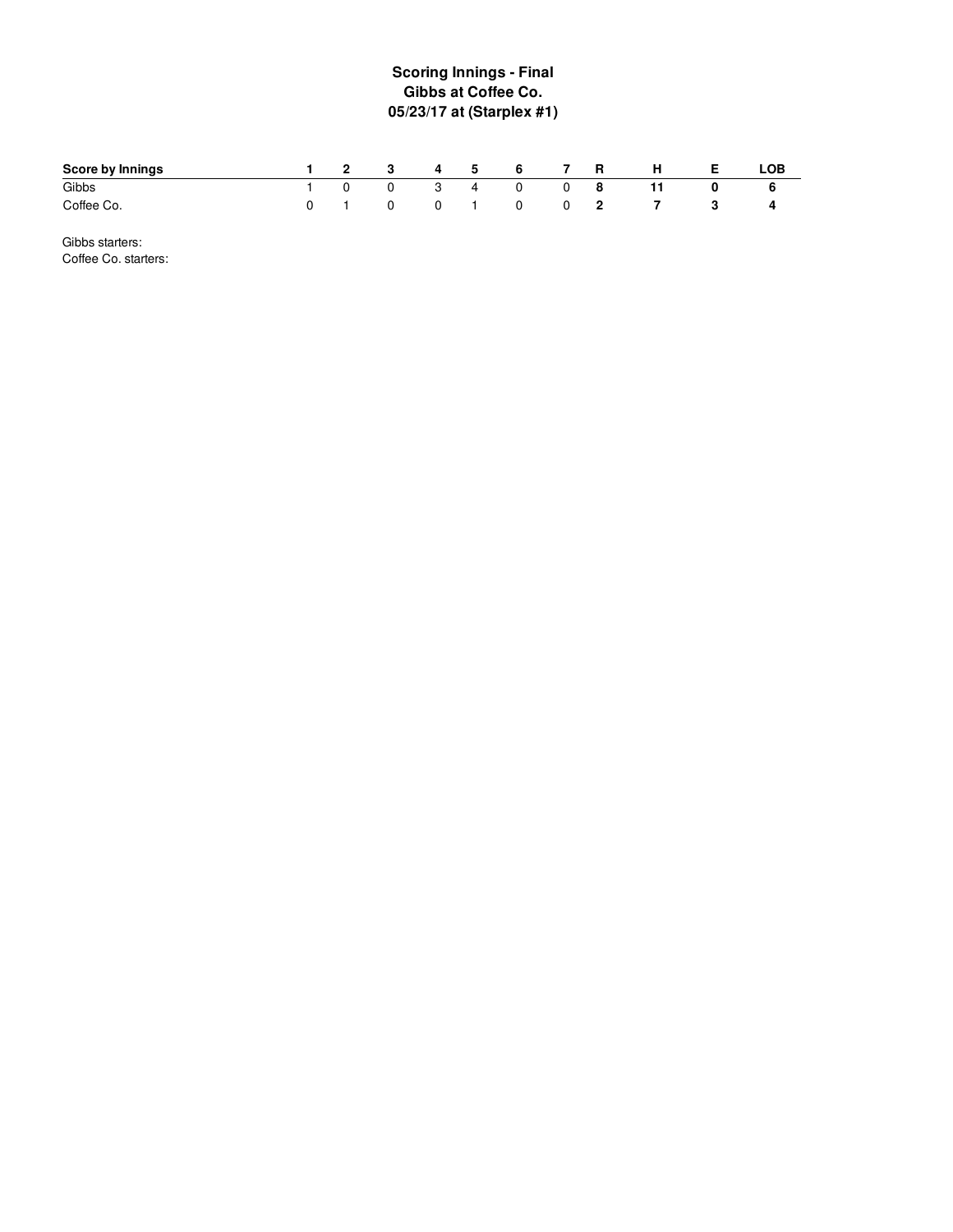## **S c o rin g In nin g s - Fin al Gibbs at Coffee Co. 05/23/17 at (Starplex #1 )**

| Score by Innings |  | 1 2 3 4 5 6 7 R |  |       |                   | <b>H</b> | - E I | LOB |
|------------------|--|-----------------|--|-------|-------------------|----------|-------|-----|
| Gibbs            |  | 1 0 0 3 4 0     |  | $0$ 8 |                   |          |       |     |
| Coffee Co.       |  |                 |  |       | 0 1 0 0 1 0 0 2 7 |          |       |     |

Gibbs starters: Coffee Co. starters: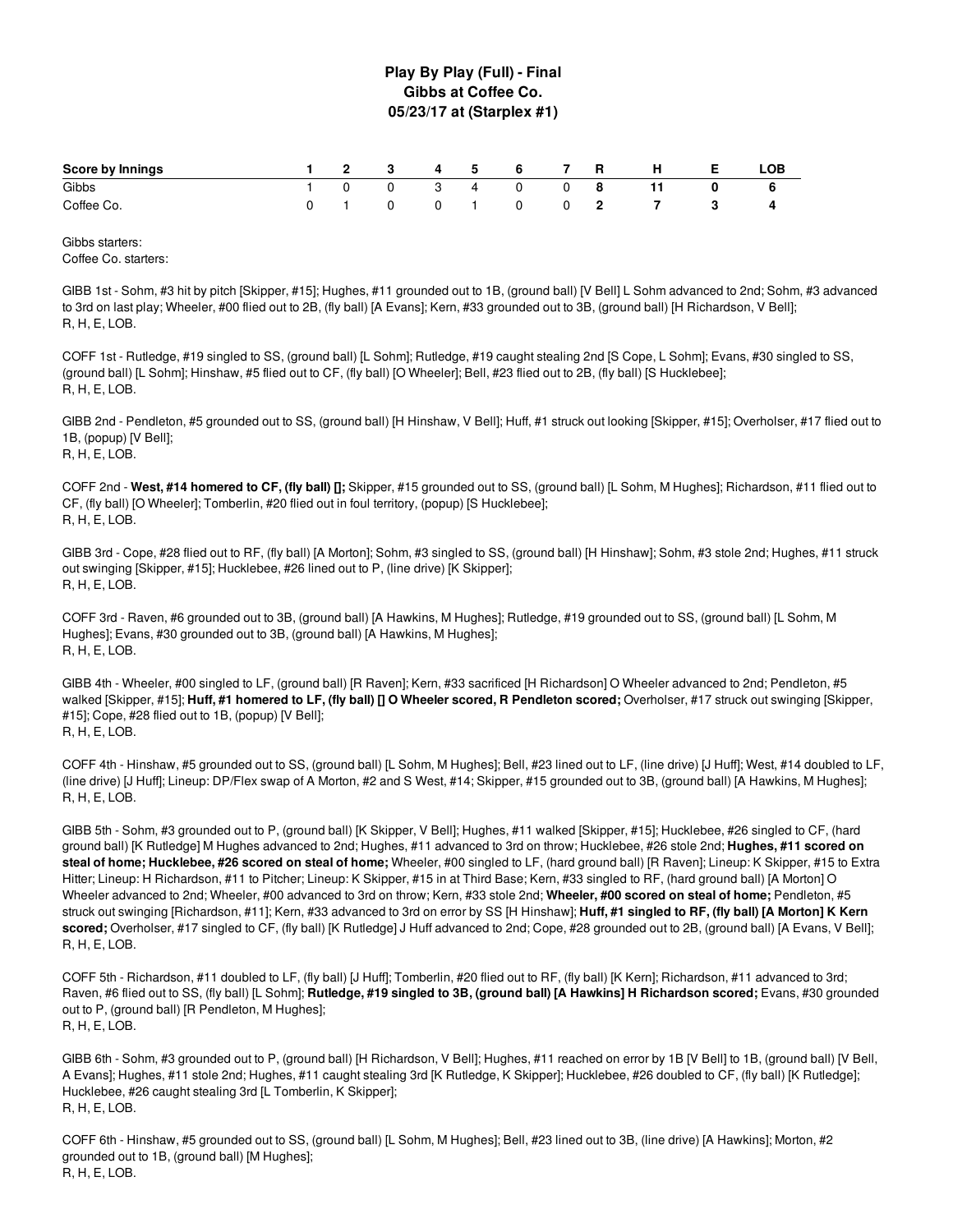### **Play By Play (Full) - Final Gibbs at Coffee Co. 05/23/17 at (Starplex #1)**

| Score by Innings |  |  | 1 2 3 4 5 6 7 R |  | H | - E - | LOB |
|------------------|--|--|-----------------|--|---|-------|-----|
| Gibbs            |  |  | 1 0 0 3 4 0 0 8 |  |   |       |     |
| Coffee Co.       |  |  | 0 1 0 0 1 0 0 2 |  |   |       |     |

Gibbs starters: Coffee Co. starters:

GIBB 1st - Sohm, #3 hit by pitch [Skipper, #15]; Hughes, #11 grounded out to 1B, (ground ball) [V Bell] L Sohm advanced to 2nd; Sohm, #3 advanced to 3rd on last play; Wheeler, #00 flied out to 2B, (fly ball) [A Evans]; Kern, #33 grounded out to 3B, (ground ball) [H Richardson, V Bell]; R, H, E, LOB.

COFF 1st - Rutledge, #19 singled to SS, (ground ball) [L Sohm]; Rutledge, #19 caught stealing 2nd [S Cope, L Sohm]; Evans, #30 singled to SS, (ground ball) [L Sohm]; Hinshaw, #5 flied out to CF, (fly ball) [O Wheeler]; Bell, #23 flied out to 2B, (fly ball) [S Hucklebee]; R, H, E, LOB.

GIBB 2nd - Pendleton, #5 grounded out to SS, (ground ball) [H Hinshaw, V Bell]; Huff, #1 struck out looking [Skipper, #15]; Overholser, #17 flied out to 1B, (popup) [V Bell]; R, H, E, LOB.

COFF 2nd - **West, #14 homered to CF, (fly ball) [];** Skipper, #15 grounded out to SS, (ground ball) [L Sohm, M Hughes]; Richardson, #11 flied out to CF, (fly ball) [O Wheeler]; Tomberlin, #20 flied out in foul territory, (popup) [S Hucklebee]; R, H, E, LOB.

GIBB 3rd - Cope, #28 flied out to RF, (fly ball) [A Morton]; Sohm, #3 singled to SS, (ground ball) [H Hinshaw]; Sohm, #3 stole 2nd; Hughes, #11 struck out swinging [Skipper, #15]; Hucklebee, #26 lined out to P, (line drive) [K Skipper]; R, H, E, LOB.

COFF 3rd - Raven, #6 grounded out to 3B, (ground ball) [A Hawkins, M Hughes]; Rutledge, #19 grounded out to SS, (ground ball) [L Sohm, M Hughes]; Evans, #30 grounded out to 3B, (ground ball) [A Hawkins, M Hughes]; R, H, E, LOB.

GIBB 4th - Wheeler, #00 singled to LF, (ground ball) [R Raven]; Kern, #33 sacrificed [H Richardson] O Wheeler advanced to 2nd; Pendleton, #5 walked [Skipper, #15]; Huff, #1 homered to LF, (fly ball) [] O Wheeler scored, R Pendleton scored; Overholser, #17 struck out swinging [Skipper, #15]; Cope, #28 flied out to 1B, (popup) [V Bell]; R, H, E, LOB.

COFF 4th - Hinshaw, #5 grounded out to SS, (ground ball) [L Sohm, M Hughes]; Bell, #23 lined out to LF, (line drive) [J Huff]; West, #14 doubled to LF, (line drive) [J Huff]; Lineup: DP/Flex swap of A Morton, #2 and S West, #14; Skipper, #15 grounded out to 3B, (ground ball) [A Hawkins, M Hughes]; R, H, E, LOB.

GIBB 5th - Sohm, #3 grounded out to P, (ground ball) [K Skipper, V Bell]; Hughes, #11 walked [Skipper, #15]; Hucklebee, #26 singled to CF, (hard ground ball) [K Rutledge] M Hughes advanced to 2nd; Hughes, #11 advanced to 3rd on throw; Hucklebee, #26 stole 2nd; **Hughes, #11 scored on steal of home; Hucklebee, #26 scored on steal of home;** Wheeler, #00 singled to LF, (hard ground ball) [R Raven]; Lineup: K Skipper, #15 to Extra Hitter; Lineup: H Richardson, #11 to Pitcher; Lineup: K Skipper, #15 in at Third Base; Kern, #33 singled to RF, (hard ground ball) [A Morton] O Wheeler advanced to 2nd; Wheeler, #00 advanced to 3rd on throw; Kern, #33 stole 2nd; **Wheeler, #00 scored on steal of home;** Pendleton, #5 struck out swinging [Richardson, #11]; Kern, #33 advanced to 3rd on error by SS [H Hinshaw]; **Huff, #1 singled to RF, (fly ball) [A Morton] K Kern scored;** Overholser, #17 singled to CF, (fly ball) [K Rutledge] J Huff advanced to 2nd; Cope, #28 grounded out to 2B, (ground ball) [A Evans, V Bell]; R, H, E, LOB.

COFF 5th - Richardson, #11 doubled to LF, (fly ball) [J Huff]; Tomberlin, #20 flied out to RF, (fly ball) [K Kern]; Richardson, #11 advanced to 3rd; Raven, #6 flied out to SS, (fly ball) [L Sohm]; Rutledge, #19 singled to 3B, (ground ball) [A Hawkins] H Richardson scored; Evans, #30 grounded out to P, (ground ball) [R Pendleton, M Hughes]; R, H, E, LOB.

GIBB 6th - Sohm, #3 grounded out to P, (ground ball) [H Richardson, V Bell]; Hughes, #11 reached on error by 1B [V Bell] to 1B, (ground ball) [V Bell, A Evans]; Hughes, #11 stole 2nd; Hughes, #11 caught stealing 3rd [K Rutledge, K Skipper]; Hucklebee, #26 doubled to CF, (fly ball) [K Rutledge]; Hucklebee, #26 caught stealing 3rd [L Tomberlin, K Skipper]; R, H, E, LOB.

COFF 6th - Hinshaw, #5 grounded out to SS, (ground ball) [L Sohm, M Hughes]; Bell, #23 lined out to 3B, (line drive) [A Hawkins]; Morton, #2 grounded out to 1B, (ground ball) [M Hughes]; R, H, E, LOB.